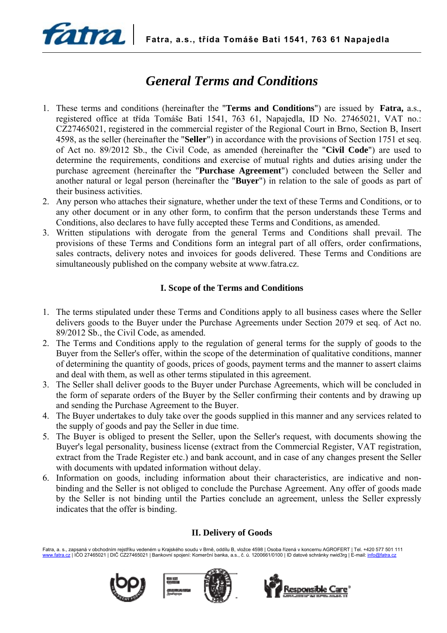

# *General Terms and Conditions*

- 1. These terms and conditions (hereinafter the "**Terms and Conditions**") are issued by **Fatra,** a.s., registered office at třída Tomáše Bati 1541, 763 61, Napajedla, ID No. 27465021, VAT no.: CZ27465021, registered in the commercial register of the Regional Court in Brno, Section B, Insert 4598, as the seller (hereinafter the "**Seller**") in accordance with the provisions of Section 1751 et seq. of Act no. 89/2012 Sb., the Civil Code, as amended (hereinafter the "**Civil Code**") are used to determine the requirements, conditions and exercise of mutual rights and duties arising under the purchase agreement (hereinafter the "**Purchase Agreement**") concluded between the Seller and another natural or legal person (hereinafter the "**Buyer**") in relation to the sale of goods as part of their business activities.
- 2. Any person who attaches their signature, whether under the text of these Terms and Conditions, or to any other document or in any other form, to confirm that the person understands these Terms and Conditions, also declares to have fully accepted these Terms and Conditions, as amended.
- 3. Written stipulations with derogate from the general Terms and Conditions shall prevail. The provisions of these Terms and Conditions form an integral part of all offers, order confirmations, sales contracts, delivery notes and invoices for goods delivered. These Terms and Conditions are simultaneously published on the company website at www.fatra.cz.

# **I. Scope of the Terms and Conditions**

- 1. The terms stipulated under these Terms and Conditions apply to all business cases where the Seller delivers goods to the Buyer under the Purchase Agreements under Section 2079 et seq. of Act no. 89/2012 Sb., the Civil Code, as amended.
- 2. The Terms and Conditions apply to the regulation of general terms for the supply of goods to the Buyer from the Seller's offer, within the scope of the determination of qualitative conditions, manner of determining the quantity of goods, prices of goods, payment terms and the manner to assert claims and deal with them, as well as other terms stipulated in this agreement.
- 3. The Seller shall deliver goods to the Buyer under Purchase Agreements, which will be concluded in the form of separate orders of the Buyer by the Seller confirming their contents and by drawing up and sending the Purchase Agreement to the Buyer.
- 4. The Buyer undertakes to duly take over the goods supplied in this manner and any services related to the supply of goods and pay the Seller in due time.
- 5. The Buyer is obliged to present the Seller, upon the Seller's request, with documents showing the Buyer's legal personality, business license (extract from the Commercial Register, VAT registration, extract from the Trade Register etc.) and bank account, and in case of any changes present the Seller with documents with updated information without delay.
- 6. Information on goods, including information about their characteristics, are indicative and nonbinding and the Seller is not obliged to conclude the Purchase Agreement. Any offer of goods made by the Seller is not binding until the Parties conclude an agreement, unless the Seller expressly indicates that the offer is binding.

# **II. Delivery of Goods**

Fatra, a. s., zapsaná v obchodním rejstříku vedeném u Krajského soudu v Brně, oddílu B, vložce 4598 | Osoba řízená v koncernu AGROFERT | Tel. +420 577 501 111 www.fatra.cz | IČO 27465021 | DIČ CZ27465021 | Bankovní spojení: Komerční banka, a.s., č. ú. 1200661/0100 | ID datové schránky nwid3rg | E-mail: info@fatra.cz



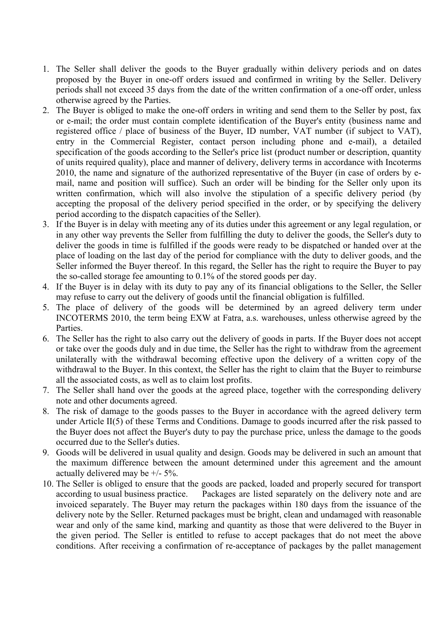- 1. The Seller shall deliver the goods to the Buyer gradually within delivery periods and on dates proposed by the Buyer in one-off orders issued and confirmed in writing by the Seller. Delivery periods shall not exceed 35 days from the date of the written confirmation of a one-off order, unless otherwise agreed by the Parties.
- 2. The Buyer is obliged to make the one-off orders in writing and send them to the Seller by post, fax or e-mail; the order must contain complete identification of the Buyer's entity (business name and registered office / place of business of the Buyer, ID number, VAT number (if subject to VAT), entry in the Commercial Register, contact person including phone and e-mail), a detailed specification of the goods according to the Seller's price list (product number or description, quantity of units required quality), place and manner of delivery, delivery terms in accordance with Incoterms 2010, the name and signature of the authorized representative of the Buyer (in case of orders by email, name and position will suffice). Such an order will be binding for the Seller only upon its written confirmation, which will also involve the stipulation of a specific delivery period (by accepting the proposal of the delivery period specified in the order, or by specifying the delivery period according to the dispatch capacities of the Seller).
- 3. If the Buyer is in delay with meeting any of its duties under this agreement or any legal regulation, or in any other way prevents the Seller from fulfilling the duty to deliver the goods, the Seller's duty to deliver the goods in time is fulfilled if the goods were ready to be dispatched or handed over at the place of loading on the last day of the period for compliance with the duty to deliver goods, and the Seller informed the Buyer thereof. In this regard, the Seller has the right to require the Buyer to pay the so-called storage fee amounting to 0.1% of the stored goods per day.
- 4. If the Buyer is in delay with its duty to pay any of its financial obligations to the Seller, the Seller may refuse to carry out the delivery of goods until the financial obligation is fulfilled.
- 5. The place of delivery of the goods will be determined by an agreed delivery term under INCOTERMS 2010, the term being EXW at Fatra, a.s. warehouses, unless otherwise agreed by the **Parties**
- 6. The Seller has the right to also carry out the delivery of goods in parts. If the Buyer does not accept or take over the goods duly and in due time, the Seller has the right to withdraw from the agreement unilaterally with the withdrawal becoming effective upon the delivery of a written copy of the withdrawal to the Buyer. In this context, the Seller has the right to claim that the Buyer to reimburse all the associated costs, as well as to claim lost profits.
- 7. The Seller shall hand over the goods at the agreed place, together with the corresponding delivery note and other documents agreed.
- 8. The risk of damage to the goods passes to the Buyer in accordance with the agreed delivery term under Article II(5) of these Terms and Conditions. Damage to goods incurred after the risk passed to the Buyer does not affect the Buyer's duty to pay the purchase price, unless the damage to the goods occurred due to the Seller's duties.
- 9. Goods will be delivered in usual quality and design. Goods may be delivered in such an amount that the maximum difference between the amount determined under this agreement and the amount actually delivered may be +/- 5%.
- 10. The Seller is obliged to ensure that the goods are packed, loaded and properly secured for transport according to usual business practice. Packages are listed separately on the delivery note and are invoiced separately. The Buyer may return the packages within 180 days from the issuance of the delivery note by the Seller. Returned packages must be bright, clean and undamaged with reasonable wear and only of the same kind, marking and quantity as those that were delivered to the Buyer in the given period. The Seller is entitled to refuse to accept packages that do not meet the above conditions. After receiving a confirmation of re-acceptance of packages by the pallet management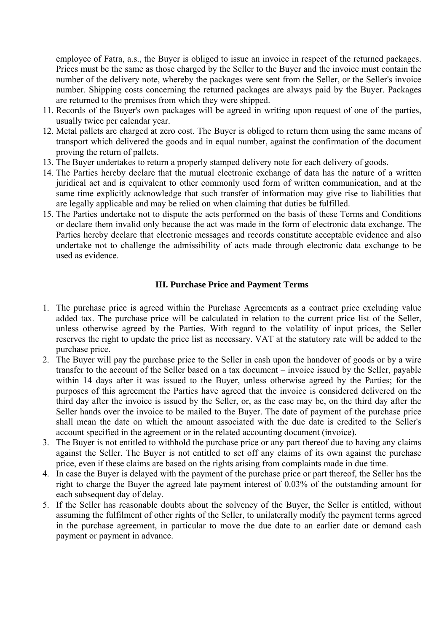employee of Fatra, a.s., the Buyer is obliged to issue an invoice in respect of the returned packages. Prices must be the same as those charged by the Seller to the Buyer and the invoice must contain the number of the delivery note, whereby the packages were sent from the Seller, or the Seller's invoice number. Shipping costs concerning the returned packages are always paid by the Buyer. Packages are returned to the premises from which they were shipped.

- 11. Records of the Buyer's own packages will be agreed in writing upon request of one of the parties, usually twice per calendar year.
- 12. Metal pallets are charged at zero cost. The Buyer is obliged to return them using the same means of transport which delivered the goods and in equal number, against the confirmation of the document proving the return of pallets.
- 13. The Buyer undertakes to return a properly stamped delivery note for each delivery of goods.
- 14. The Parties hereby declare that the mutual electronic exchange of data has the nature of a written juridical act and is equivalent to other commonly used form of written communication, and at the same time explicitly acknowledge that such transfer of information may give rise to liabilities that are legally applicable and may be relied on when claiming that duties be fulfilled.
- 15. The Parties undertake not to dispute the acts performed on the basis of these Terms and Conditions or declare them invalid only because the act was made in the form of electronic data exchange. The Parties hereby declare that electronic messages and records constitute acceptable evidence and also undertake not to challenge the admissibility of acts made through electronic data exchange to be used as evidence.

#### **III. Purchase Price and Payment Terms**

- 1. The purchase price is agreed within the Purchase Agreements as a contract price excluding value added tax. The purchase price will be calculated in relation to the current price list of the Seller, unless otherwise agreed by the Parties. With regard to the volatility of input prices, the Seller reserves the right to update the price list as necessary. VAT at the statutory rate will be added to the purchase price.
- 2. The Buyer will pay the purchase price to the Seller in cash upon the handover of goods or by a wire transfer to the account of the Seller based on a tax document – invoice issued by the Seller, payable within 14 days after it was issued to the Buyer, unless otherwise agreed by the Parties; for the purposes of this agreement the Parties have agreed that the invoice is considered delivered on the third day after the invoice is issued by the Seller, or, as the case may be, on the third day after the Seller hands over the invoice to be mailed to the Buyer. The date of payment of the purchase price shall mean the date on which the amount associated with the due date is credited to the Seller's account specified in the agreement or in the related accounting document (invoice).
- 3. The Buyer is not entitled to withhold the purchase price or any part thereof due to having any claims against the Seller. The Buyer is not entitled to set off any claims of its own against the purchase price, even if these claims are based on the rights arising from complaints made in due time.
- 4. In case the Buyer is delayed with the payment of the purchase price or part thereof, the Seller has the right to charge the Buyer the agreed late payment interest of 0.03% of the outstanding amount for each subsequent day of delay.
- 5. If the Seller has reasonable doubts about the solvency of the Buyer, the Seller is entitled, without assuming the fulfilment of other rights of the Seller, to unilaterally modify the payment terms agreed in the purchase agreement, in particular to move the due date to an earlier date or demand cash payment or payment in advance.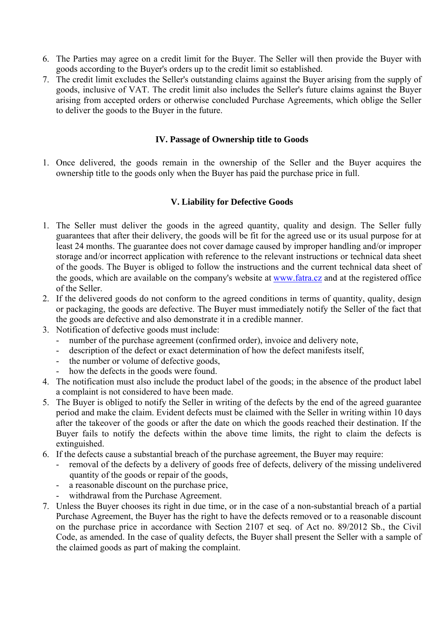- 6. The Parties may agree on a credit limit for the Buyer. The Seller will then provide the Buyer with goods according to the Buyer's orders up to the credit limit so established.
- 7. The credit limit excludes the Seller's outstanding claims against the Buyer arising from the supply of goods, inclusive of VAT. The credit limit also includes the Seller's future claims against the Buyer arising from accepted orders or otherwise concluded Purchase Agreements, which oblige the Seller to deliver the goods to the Buyer in the future.

### **IV. Passage of Ownership title to Goods**

1. Once delivered, the goods remain in the ownership of the Seller and the Buyer acquires the ownership title to the goods only when the Buyer has paid the purchase price in full.

#### **V. Liability for Defective Goods**

- 1. The Seller must deliver the goods in the agreed quantity, quality and design. The Seller fully guarantees that after their delivery, the goods will be fit for the agreed use or its usual purpose for at least 24 months. The guarantee does not cover damage caused by improper handling and/or improper storage and/or incorrect application with reference to the relevant instructions or technical data sheet of the goods. The Buyer is obliged to follow the instructions and the current technical data sheet of the goods, which are available on the company's website at www.fatra.cz and at the registered office of the Seller.
- 2. If the delivered goods do not conform to the agreed conditions in terms of quantity, quality, design or packaging, the goods are defective. The Buyer must immediately notify the Seller of the fact that the goods are defective and also demonstrate it in a credible manner.
- 3. Notification of defective goods must include:
	- number of the purchase agreement (confirmed order), invoice and delivery note,
	- description of the defect or exact determination of how the defect manifests itself,
	- the number or volume of defective goods,
	- how the defects in the goods were found.
- 4. The notification must also include the product label of the goods; in the absence of the product label a complaint is not considered to have been made.
- 5. The Buyer is obliged to notify the Seller in writing of the defects by the end of the agreed guarantee period and make the claim. Evident defects must be claimed with the Seller in writing within 10 days after the takeover of the goods or after the date on which the goods reached their destination. If the Buyer fails to notify the defects within the above time limits, the right to claim the defects is extinguished.
- 6. If the defects cause a substantial breach of the purchase agreement, the Buyer may require:
	- removal of the defects by a delivery of goods free of defects, delivery of the missing undelivered quantity of the goods or repair of the goods,
	- a reasonable discount on the purchase price,
	- withdrawal from the Purchase Agreement.
- 7. Unless the Buyer chooses its right in due time, or in the case of a non-substantial breach of a partial Purchase Agreement, the Buyer has the right to have the defects removed or to a reasonable discount on the purchase price in accordance with Section 2107 et seq. of Act no. 89/2012 Sb., the Civil Code, as amended. In the case of quality defects, the Buyer shall present the Seller with a sample of the claimed goods as part of making the complaint.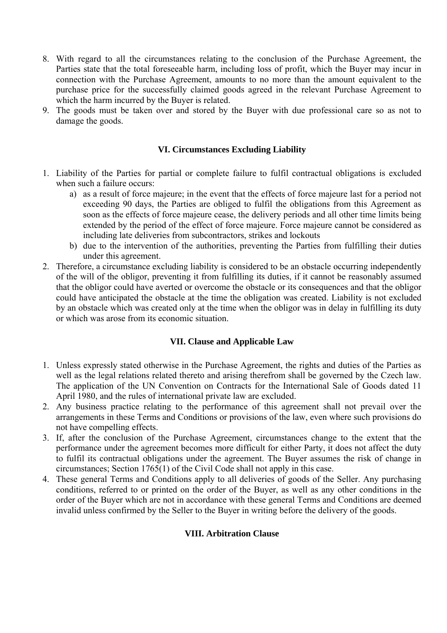- 8. With regard to all the circumstances relating to the conclusion of the Purchase Agreement, the Parties state that the total foreseeable harm, including loss of profit, which the Buyer may incur in connection with the Purchase Agreement, amounts to no more than the amount equivalent to the purchase price for the successfully claimed goods agreed in the relevant Purchase Agreement to which the harm incurred by the Buyer is related.
- 9. The goods must be taken over and stored by the Buyer with due professional care so as not to damage the goods.

#### **VI. Circumstances Excluding Liability**

- 1. Liability of the Parties for partial or complete failure to fulfil contractual obligations is excluded when such a failure occurs:
	- a) as a result of force majeure; in the event that the effects of force majeure last for a period not exceeding 90 days, the Parties are obliged to fulfil the obligations from this Agreement as soon as the effects of force majeure cease, the delivery periods and all other time limits being extended by the period of the effect of force majeure. Force majeure cannot be considered as including late deliveries from subcontractors, strikes and lockouts
	- b) due to the intervention of the authorities, preventing the Parties from fulfilling their duties under this agreement.
- 2. Therefore, a circumstance excluding liability is considered to be an obstacle occurring independently of the will of the obligor, preventing it from fulfilling its duties, if it cannot be reasonably assumed that the obligor could have averted or overcome the obstacle or its consequences and that the obligor could have anticipated the obstacle at the time the obligation was created. Liability is not excluded by an obstacle which was created only at the time when the obligor was in delay in fulfilling its duty or which was arose from its economic situation.

## **VII. Clause and Applicable Law**

- 1. Unless expressly stated otherwise in the Purchase Agreement, the rights and duties of the Parties as well as the legal relations related thereto and arising therefrom shall be governed by the Czech law. The application of the UN Convention on Contracts for the International Sale of Goods dated 11 April 1980, and the rules of international private law are excluded.
- 2. Any business practice relating to the performance of this agreement shall not prevail over the arrangements in these Terms and Conditions or provisions of the law, even where such provisions do not have compelling effects.
- 3. If, after the conclusion of the Purchase Agreement, circumstances change to the extent that the performance under the agreement becomes more difficult for either Party, it does not affect the duty to fulfil its contractual obligations under the agreement. The Buyer assumes the risk of change in circumstances; Section 1765(1) of the Civil Code shall not apply in this case.
- 4. These general Terms and Conditions apply to all deliveries of goods of the Seller. Any purchasing conditions, referred to or printed on the order of the Buyer, as well as any other conditions in the order of the Buyer which are not in accordance with these general Terms and Conditions are deemed invalid unless confirmed by the Seller to the Buyer in writing before the delivery of the goods.

## **VIII. Arbitration Clause**